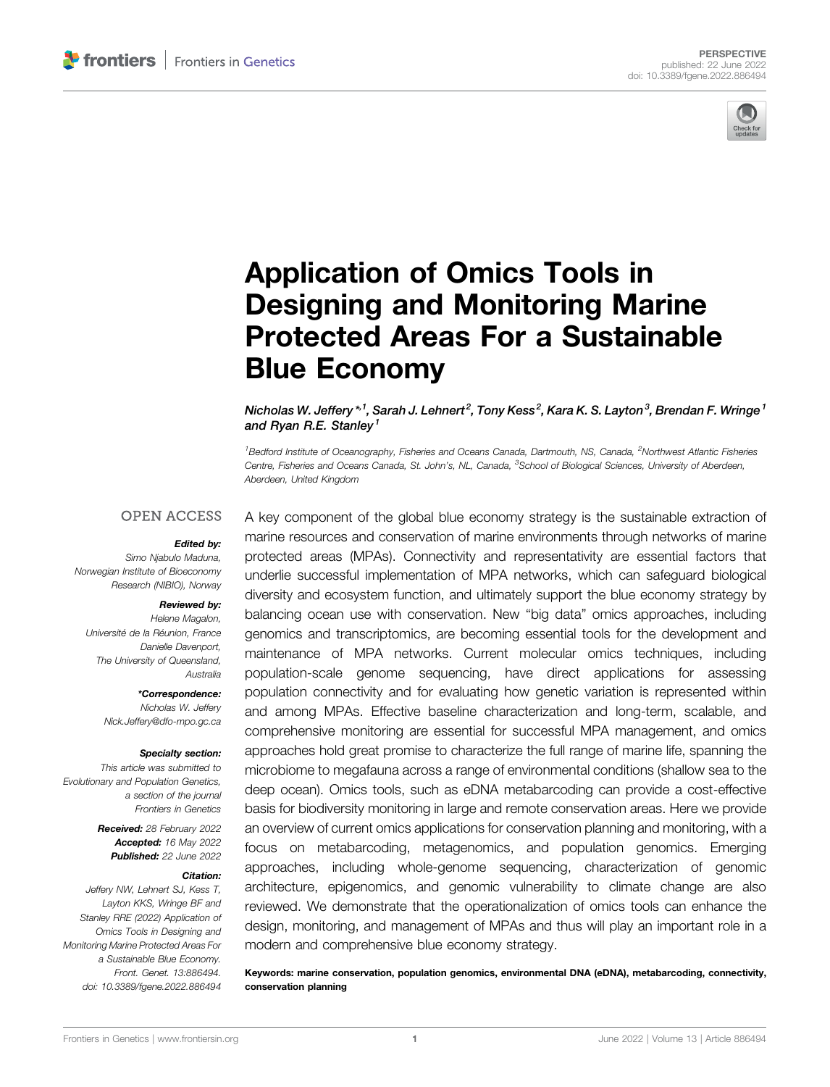

# [Application of Omics Tools in](https://www.frontiersin.org/articles/10.3389/fgene.2022.886494/full) [Designing and Monitoring Marine](https://www.frontiersin.org/articles/10.3389/fgene.2022.886494/full) [Protected Areas For a Sustainable](https://www.frontiersin.org/articles/10.3389/fgene.2022.886494/full) [Blue Economy](https://www.frontiersin.org/articles/10.3389/fgene.2022.886494/full)

Nicholas W. Jeffery  $^{\ast}{}^{1}$ , Sarah J. Lehnert $^{2}$ , Tony Kess $^{2}$ , Kara K. S. Layton $^{3}$ , Brendan F. Wringe  $^{1}$ and Ryan R.E. Stanley<sup>1</sup>

<sup>1</sup> Bedford Institute of Oceanography, Fisheries and Oceans Canada, Dartmouth, NS, Canada, <sup>2</sup>Northwest Atlantic Fisheries Centre, Fisheries and Oceans Canada, St. John's, NL, Canada, <sup>3</sup>School of Biological Sciences, University of Aberdeen, Aberdeen, United Kingdom

#### **OPEN ACCESS**

#### Edited by:

Simo Njabulo Maduna, Norwegian Institute of Bioeconomy Research (NIBIO), Norway

#### Reviewed by:

Helene Magalon, Université de la Réunion, France Danielle Davenport, The University of Queensland, Australia

> \*Correspondence: Nicholas W. Jeffery [Nick.Jeffery@dfo-mpo.gc.ca](mailto:Nick.Jeffery@dfo-mpo.gc.ca)

#### Specialty section:

This article was submitted to Evolutionary and Population Genetics, a section of the journal Frontiers in Genetics

> Received: 28 February 2022 Accepted: 16 May 2022 Published: 22 June 2022

#### Citation:

Jeffery NW, Lehnert SJ, Kess T, Layton KKS, Wringe BF and Stanley RRE (2022) Application of Omics Tools in Designing and Monitoring Marine Protected Areas For a Sustainable Blue Economy. Front. Genet. 13:886494. doi: [10.3389/fgene.2022.886494](https://doi.org/10.3389/fgene.2022.886494)

A key component of the global blue economy strategy is the sustainable extraction of marine resources and conservation of marine environments through networks of marine protected areas (MPAs). Connectivity and representativity are essential factors that underlie successful implementation of MPA networks, which can safeguard biological diversity and ecosystem function, and ultimately support the blue economy strategy by balancing ocean use with conservation. New "big data" omics approaches, including genomics and transcriptomics, are becoming essential tools for the development and maintenance of MPA networks. Current molecular omics techniques, including population-scale genome sequencing, have direct applications for assessing population connectivity and for evaluating how genetic variation is represented within and among MPAs. Effective baseline characterization and long-term, scalable, and comprehensive monitoring are essential for successful MPA management, and omics approaches hold great promise to characterize the full range of marine life, spanning the microbiome to megafauna across a range of environmental conditions (shallow sea to the deep ocean). Omics tools, such as eDNA metabarcoding can provide a cost-effective basis for biodiversity monitoring in large and remote conservation areas. Here we provide an overview of current omics applications for conservation planning and monitoring, with a focus on metabarcoding, metagenomics, and population genomics. Emerging approaches, including whole-genome sequencing, characterization of genomic architecture, epigenomics, and genomic vulnerability to climate change are also reviewed. We demonstrate that the operationalization of omics tools can enhance the design, monitoring, and management of MPAs and thus will play an important role in a modern and comprehensive blue economy strategy.

Keywords: marine conservation, population genomics, environmental DNA (eDNA), metabarcoding, connectivity, conservation planning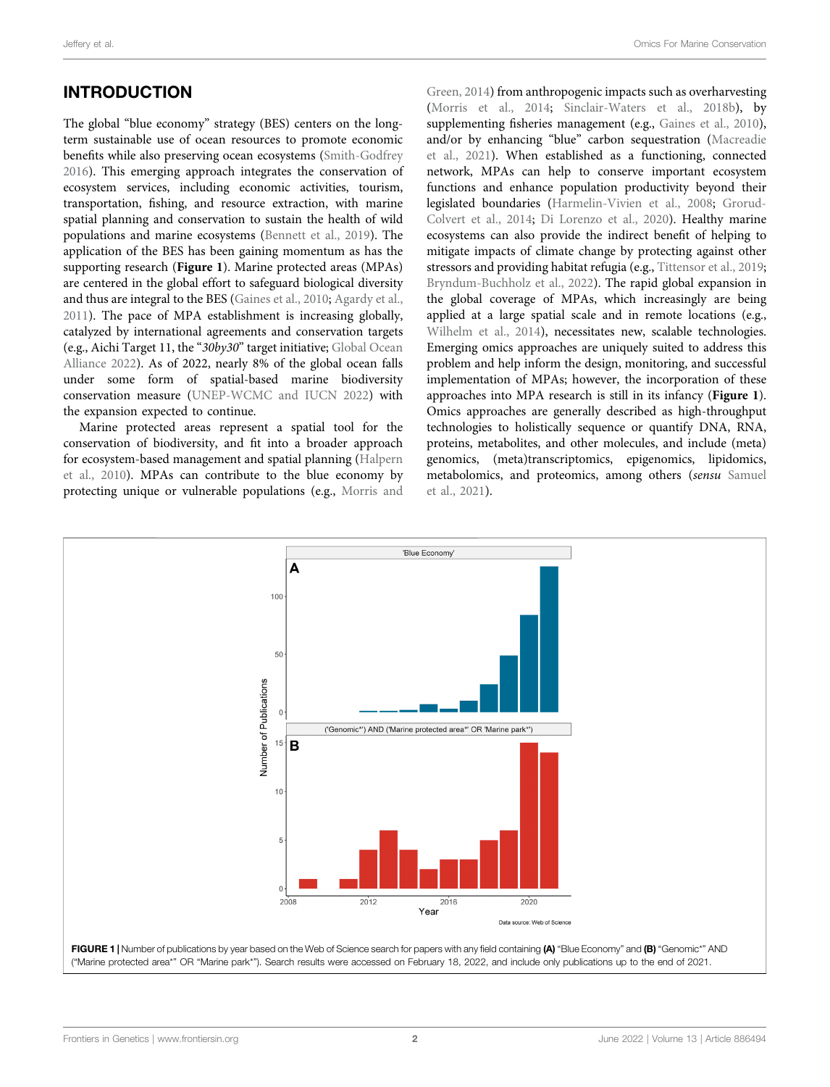## INTRODUCTION

The global "blue economy" strategy (BES) centers on the longterm sustainable use of ocean resources to promote economic benefits while also preserving ocean ecosystems [\(Smith-Godfrey](#page-9-0) [2016](#page-9-0)). This emerging approach integrates the conservation of ecosystem services, including economic activities, tourism, transportation, fishing, and resource extraction, with marine spatial planning and conservation to sustain the health of wild populations and marine ecosystems [\(Bennett et al., 2019\)](#page-7-0). The application of the BES has been gaining momentum as has the supporting research ([Figure 1](#page-1-0)). Marine protected areas (MPAs) are centered in the global effort to safeguard biological diversity and thus are integral to the BES [\(Gaines et al., 2010;](#page-8-0) [Agardy et al.,](#page-7-1) [2011](#page-7-1)). The pace of MPA establishment is increasing globally, catalyzed by international agreements and conservation targets (e.g., Aichi Target 11, the "30by30" target initiative; [Global Ocean](#page-8-1) [Alliance 2022\)](#page-8-1). As of 2022, nearly 8% of the global ocean falls under some form of spatial-based marine biodiversity conservation measure ([UNEP-WCMC and IUCN 2022\)](#page-9-1) with the expansion expected to continue.

Marine protected areas represent a spatial tool for the conservation of biodiversity, and fit into a broader approach for ecosystem-based management and spatial planning ([Halpern](#page-8-2) [et al., 2010\)](#page-8-2). MPAs can contribute to the blue economy by protecting unique or vulnerable populations (e.g., [Morris and](#page-9-2)

[Green, 2014](#page-9-2)) from anthropogenic impacts such as overharvesting [\(Morris et al., 2014;](#page-9-3) [Sinclair-Waters et al., 2018b\)](#page-9-4), by supplementing fisheries management (e.g., [Gaines et al., 2010\)](#page-8-0), and/or by enhancing "blue" carbon sequestration ([Macreadie](#page-8-3) [et al., 2021](#page-8-3)). When established as a functioning, connected network, MPAs can help to conserve important ecosystem functions and enhance population productivity beyond their legislated boundaries [\(Harmelin-Vivien et al., 2008](#page-8-4); [Grorud-](#page-8-5)[Colvert et al., 2014;](#page-8-5) [Di Lorenzo et al., 2020\)](#page-8-6). Healthy marine ecosystems can also provide the indirect benefit of helping to mitigate impacts of climate change by protecting against other stressors and providing habitat refugia (e.g., [Tittensor et al., 2019;](#page-9-5) [Bryndum-Buchholz et al., 2022\)](#page-8-7). The rapid global expansion in the global coverage of MPAs, which increasingly are being applied at a large spatial scale and in remote locations (e.g., [Wilhelm et al., 2014\)](#page-9-6), necessitates new, scalable technologies. Emerging omics approaches are uniquely suited to address this problem and help inform the design, monitoring, and successful implementation of MPAs; however, the incorporation of these approaches into MPA research is still in its infancy ([Figure 1](#page-1-0)). Omics approaches are generally described as high-throughput technologies to holistically sequence or quantify DNA, RNA, proteins, metabolites, and other molecules, and include (meta) genomics, (meta)transcriptomics, epigenomics, lipidomics, metabolomics, and proteomics, among others (sensu [Samuel](#page-9-7) [et al., 2021](#page-9-7)).

<span id="page-1-0"></span>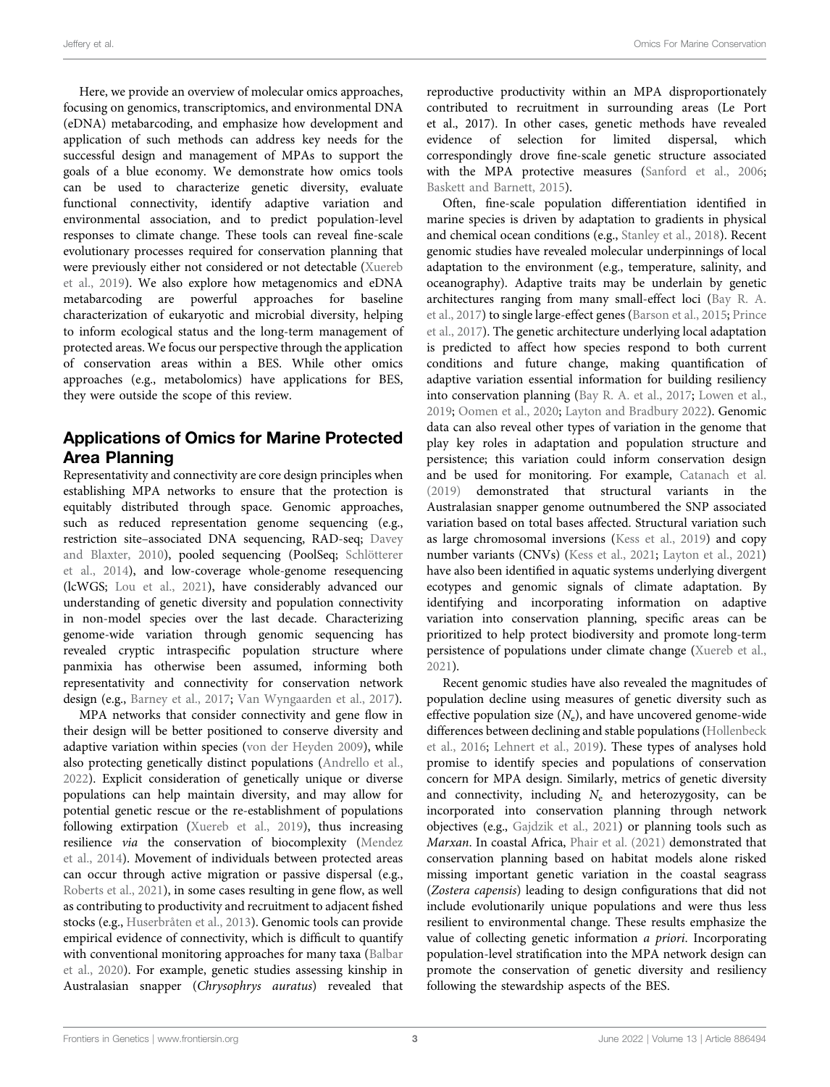Here, we provide an overview of molecular omics approaches, focusing on genomics, transcriptomics, and environmental DNA (eDNA) metabarcoding, and emphasize how development and application of such methods can address key needs for the successful design and management of MPAs to support the goals of a blue economy. We demonstrate how omics tools can be used to characterize genetic diversity, evaluate functional connectivity, identify adaptive variation and environmental association, and to predict population-level responses to climate change. These tools can reveal fine-scale evolutionary processes required for conservation planning that were previously either not considered or not detectable [\(Xuereb](#page-9-8) [et al., 2019](#page-9-8)). We also explore how metagenomics and eDNA metabarcoding are powerful approaches for baseline characterization of eukaryotic and microbial diversity, helping to inform ecological status and the long-term management of protected areas. We focus our perspective through the application of conservation areas within a BES. While other omics approaches (e.g., metabolomics) have applications for BES, they were outside the scope of this review.

### Applications of Omics for Marine Protected Area Planning

Representativity and connectivity are core design principles when establishing MPA networks to ensure that the protection is equitably distributed through space. Genomic approaches, such as reduced representation genome sequencing (e.g., restriction site–associated DNA sequencing, RAD-seq; [Davey](#page-8-8) [and Blaxter, 2010](#page-8-8)), pooled sequencing (PoolSeq; [Schlötterer](#page-9-9) [et al., 2014](#page-9-9)), and low-coverage whole-genome resequencing (lcWGS; [Lou et al., 2021\)](#page-8-9), have considerably advanced our understanding of genetic diversity and population connectivity in non-model species over the last decade. Characterizing genome-wide variation through genomic sequencing has revealed cryptic intraspecific population structure where panmixia has otherwise been assumed, informing both representativity and connectivity for conservation network design (e.g., [Barney et al., 2017](#page-7-2); [Van Wyngaarden et al., 2017](#page-9-10)).

MPA networks that consider connectivity and gene flow in their design will be better positioned to conserve diversity and adaptive variation within species [\(von der Heyden 2009\)](#page-9-11), while also protecting genetically distinct populations [\(Andrello et al.,](#page-7-3) [2022](#page-7-3)). Explicit consideration of genetically unique or diverse populations can help maintain diversity, and may allow for potential genetic rescue or the re-establishment of populations following extirpation [\(Xuereb et al., 2019](#page-9-8)), thus increasing resilience via the conservation of biocomplexity ([Mendez](#page-9-12) [et al., 2014\)](#page-9-12). Movement of individuals between protected areas can occur through active migration or passive dispersal (e.g., [Roberts et al., 2021](#page-9-13)), in some cases resulting in gene flow, as well as contributing to productivity and recruitment to adjacent fished stocks (e.g., [Huserbråten et al., 2013](#page-8-10)). Genomic tools can provide empirical evidence of connectivity, which is difficult to quantify with conventional monitoring approaches for many taxa ([Balbar](#page-7-4) [et al., 2020](#page-7-4)). For example, genetic studies assessing kinship in Australasian snapper (Chrysophrys auratus) revealed that

reproductive productivity within an MPA disproportionately contributed to recruitment in surrounding areas (Le Port et al., 2017). In other cases, genetic methods have revealed evidence of selection for limited dispersal, which correspondingly drove fine-scale genetic structure associated with the MPA protective measures [\(Sanford et al., 2006;](#page-9-14) [Baskett and Barnett, 2015](#page-7-5)).

Often, fine-scale population differentiation identified in marine species is driven by adaptation to gradients in physical and chemical ocean conditions (e.g., [Stanley et al., 2018](#page-9-15)). Recent genomic studies have revealed molecular underpinnings of local adaptation to the environment (e.g., temperature, salinity, and oceanography). Adaptive traits may be underlain by genetic architectures ranging from many small-effect loci ([Bay R. A.](#page-7-6) [et al., 2017\)](#page-7-6) to single large-effect genes ([Barson et al., 2015;](#page-7-7) [Prince](#page-9-16) [et al., 2017](#page-9-16)). The genetic architecture underlying local adaptation is predicted to affect how species respond to both current conditions and future change, making quantification of adaptive variation essential information for building resiliency into conservation planning [\(Bay R. A. et al., 2017](#page-7-6); [Lowen et al.,](#page-8-11) [2019](#page-8-11); [Oomen et al., 2020;](#page-9-17) [Layton and Bradbury 2022](#page-8-12)). Genomic data can also reveal other types of variation in the genome that play key roles in adaptation and population structure and persistence; this variation could inform conservation design and be used for monitoring. For example, [Catanach et al.](#page-8-13) [\(2019\)](#page-8-13) demonstrated that structural variants in the Australasian snapper genome outnumbered the SNP associated variation based on total bases affected. Structural variation such as large chromosomal inversions ([Kess et al., 2019](#page-8-14)) and copy number variants (CNVs) [\(Kess et al., 2021](#page-8-15); [Layton et al., 2021\)](#page-8-16) have also been identified in aquatic systems underlying divergent ecotypes and genomic signals of climate adaptation. By identifying and incorporating information on adaptive variation into conservation planning, specific areas can be prioritized to help protect biodiversity and promote long-term persistence of populations under climate change ([Xuereb et al.,](#page-9-18) [2021](#page-9-18)).

Recent genomic studies have also revealed the magnitudes of population decline using measures of genetic diversity such as effective population size  $(N_e)$ , and have uncovered genome-wide differences between declining and stable populations ([Hollenbeck](#page-8-17) [et al., 2016;](#page-8-17) [Lehnert et al., 2019\)](#page-8-18). These types of analyses hold promise to identify species and populations of conservation concern for MPA design. Similarly, metrics of genetic diversity and connectivity, including  $N_e$  and heterozygosity, can be incorporated into conservation planning through network objectives (e.g., [Gajdzik et al., 2021\)](#page-8-19) or planning tools such as Marxan. In coastal Africa, [Phair et al. \(2021\)](#page-9-19) demonstrated that conservation planning based on habitat models alone risked missing important genetic variation in the coastal seagrass (Zostera capensis) leading to design configurations that did not include evolutionarily unique populations and were thus less resilient to environmental change. These results emphasize the value of collecting genetic information a priori. Incorporating population-level stratification into the MPA network design can promote the conservation of genetic diversity and resiliency following the stewardship aspects of the BES.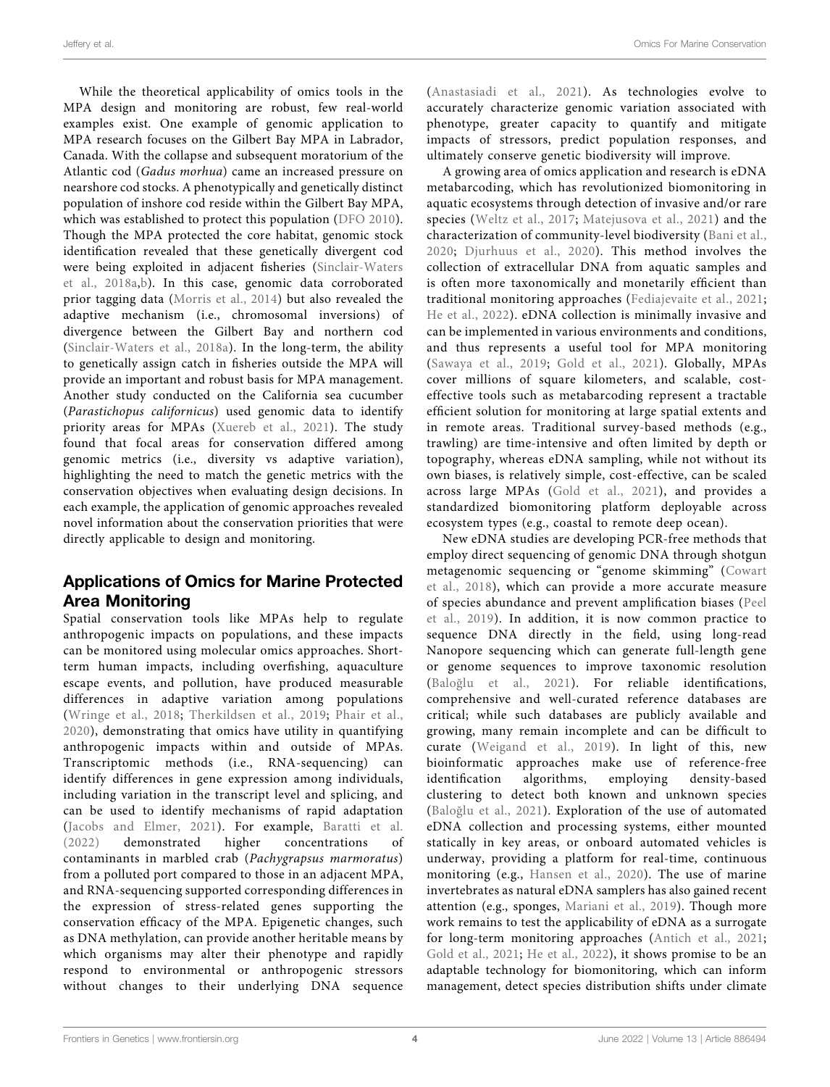While the theoretical applicability of omics tools in the MPA design and monitoring are robust, few real-world examples exist. One example of genomic application to MPA research focuses on the Gilbert Bay MPA in Labrador, Canada. With the collapse and subsequent moratorium of the Atlantic cod (Gadus morhua) came an increased pressure on nearshore cod stocks. A phenotypically and genetically distinct population of inshore cod reside within the Gilbert Bay MPA, which was established to protect this population ([DFO 2010\)](#page-8-20). Though the MPA protected the core habitat, genomic stock identification revealed that these genetically divergent cod were being exploited in adjacent fisheries ([Sinclair-Waters](#page-9-20) [et al., 2018a,](#page-9-20)[b\)](#page-9-4). In this case, genomic data corroborated prior tagging data ([Morris et al., 2014](#page-9-3)) but also revealed the adaptive mechanism (i.e., chromosomal inversions) of divergence between the Gilbert Bay and northern cod ([Sinclair-Waters et al., 2018a](#page-9-20)). In the long-term, the ability to genetically assign catch in fisheries outside the MPA will provide an important and robust basis for MPA management. Another study conducted on the California sea cucumber (Parastichopus californicus) used genomic data to identify priority areas for MPAs ([Xuereb et al., 2021\)](#page-9-18). The study found that focal areas for conservation differed among genomic metrics (i.e., diversity vs adaptive variation), highlighting the need to match the genetic metrics with the conservation objectives when evaluating design decisions. In each example, the application of genomic approaches revealed novel information about the conservation priorities that were directly applicable to design and monitoring.

## Applications of Omics for Marine Protected Area Monitoring

Spatial conservation tools like MPAs help to regulate anthropogenic impacts on populations, and these impacts can be monitored using molecular omics approaches. Shortterm human impacts, including overfishing, aquaculture escape events, and pollution, have produced measurable differences in adaptive variation among populations ([Wringe et al., 2018](#page-9-21); [Therkildsen et al., 2019](#page-9-22); [Phair et al.,](#page-9-23) [2020\)](#page-9-23), demonstrating that omics have utility in quantifying anthropogenic impacts within and outside of MPAs. Transcriptomic methods (i.e., RNA-sequencing) can identify differences in gene expression among individuals, including variation in the transcript level and splicing, and can be used to identify mechanisms of rapid adaptation ([Jacobs and Elmer, 2021\)](#page-8-21). For example, [Baratti et al.](#page-7-8) [\(2022\)](#page-7-8) demonstrated higher concentrations of contaminants in marbled crab (Pachygrapsus marmoratus) from a polluted port compared to those in an adjacent MPA, and RNA-sequencing supported corresponding differences in the expression of stress-related genes supporting the conservation efficacy of the MPA. Epigenetic changes, such as DNA methylation, can provide another heritable means by which organisms may alter their phenotype and rapidly respond to environmental or anthropogenic stressors without changes to their underlying DNA sequence

Jeffery et al. Omics For Marine Conservation

([Anastasiadi et al., 2021](#page-7-9)). As technologies evolve to accurately characterize genomic variation associated with phenotype, greater capacity to quantify and mitigate impacts of stressors, predict population responses, and ultimately conserve genetic biodiversity will improve.

A growing area of omics application and research is eDNA metabarcoding, which has revolutionized biomonitoring in aquatic ecosystems through detection of invasive and/or rare species ([Weltz et al., 2017;](#page-9-24) [Matejusova et al., 2021\)](#page-9-25) and the characterization of community-level biodiversity ([Bani et al.,](#page-7-10) [2020](#page-7-10); [Djurhuus et al., 2020](#page-8-22)). This method involves the collection of extracellular DNA from aquatic samples and is often more taxonomically and monetarily efficient than traditional monitoring approaches ([Fediajevaite et al., 2021;](#page-8-23) [He et al., 2022\)](#page-8-24). eDNA collection is minimally invasive and can be implemented in various environments and conditions, and thus represents a useful tool for MPA monitoring ([Sawaya et al., 2019](#page-9-26); [Gold et al., 2021](#page-8-25)). Globally, MPAs cover millions of square kilometers, and scalable, costeffective tools such as metabarcoding represent a tractable efficient solution for monitoring at large spatial extents and in remote areas. Traditional survey-based methods (e.g., trawling) are time-intensive and often limited by depth or topography, whereas eDNA sampling, while not without its own biases, is relatively simple, cost-effective, can be scaled across large MPAs ([Gold et al., 2021\)](#page-8-25), and provides a standardized biomonitoring platform deployable across ecosystem types (e.g., coastal to remote deep ocean).

New eDNA studies are developing PCR-free methods that employ direct sequencing of genomic DNA through shotgun metagenomic sequencing or "genome skimming" ([Cowart](#page-8-26) [et al., 2018](#page-8-26)), which can provide a more accurate measure of species abundance and prevent amplification biases ([Peel](#page-9-27) [et al., 2019](#page-9-27)). In addition, it is now common practice to sequence DNA directly in the field, using long-read Nanopore sequencing which can generate full-length gene or genome sequences to improve taxonomic resolution (Baloğ[lu et al., 2021\)](#page-7-11). For reliable identifications, comprehensive and well-curated reference databases are critical; while such databases are publicly available and growing, many remain incomplete and can be difficult to curate ([Weigand et al., 2019\)](#page-9-28). In light of this, new bioinformatic approaches make use of reference-free identification algorithms, employing density-based clustering to detect both known and unknown species (Baloğ[lu et al., 2021\)](#page-7-11). Exploration of the use of automated eDNA collection and processing systems, either mounted statically in key areas, or onboard automated vehicles is underway, providing a platform for real-time, continuous monitoring (e.g., [Hansen et al., 2020\)](#page-8-27). The use of marine invertebrates as natural eDNA samplers has also gained recent attention (e.g., sponges, [Mariani et al., 2019](#page-8-28)). Though more work remains to test the applicability of eDNA as a surrogate for long-term monitoring approaches ([Antich et al., 2021;](#page-7-12) [Gold et al., 2021;](#page-8-25) [He et al., 2022\)](#page-8-24), it shows promise to be an adaptable technology for biomonitoring, which can inform management, detect species distribution shifts under climate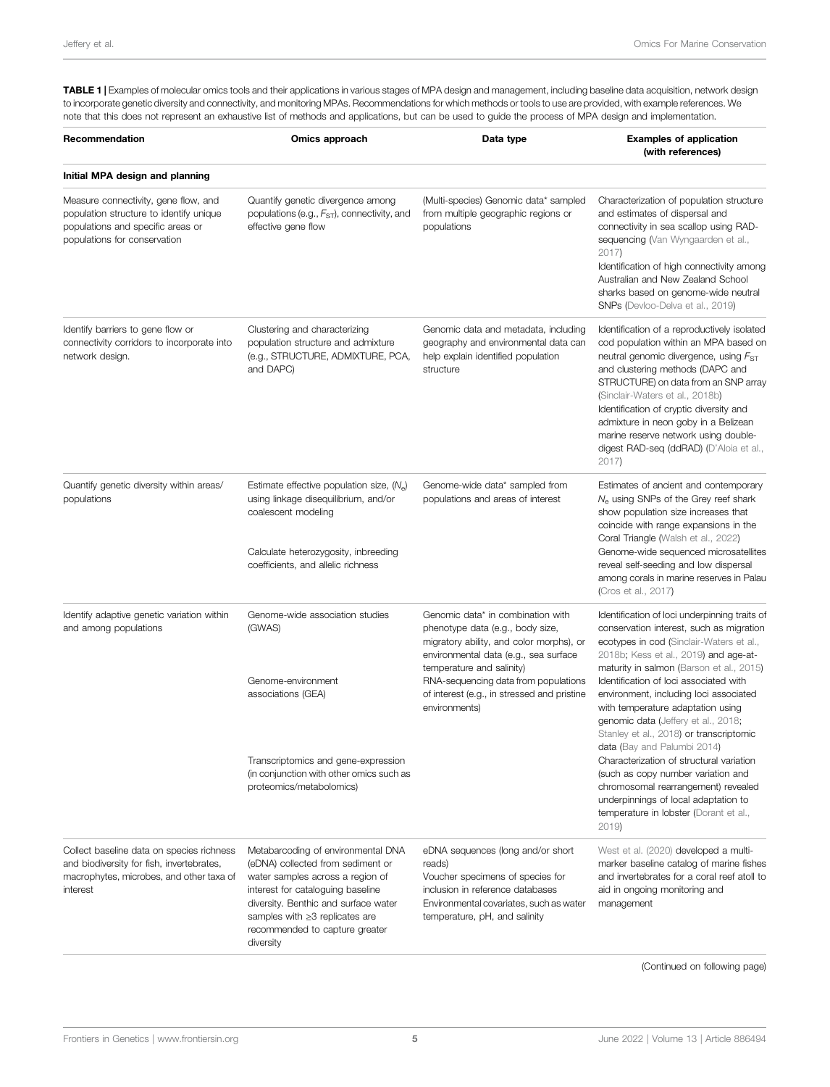<span id="page-4-0"></span>TABLE 1 | Examples of molecular omics tools and their applications in various stages of MPA design and management, including baseline data acquisition, network design to incorporate genetic diversity and connectivity, and monitoring MPAs. Recommendations for which methods or tools to use are provided, with example references. We note that this does not represent an exhaustive list of methods and applications, but can be used to guide the process of MPA design and implementation.

| Recommendation                                                                                                                                       | Omics approach                                                                                                                                                                                                                                                            | Data type                                                                                                                                                                                                                                                                                       | <b>Examples of application</b><br>(with references)                                                                                                                                                                                                                                                                                                                                                                                                                                                                                                                                                                                                                                      |
|------------------------------------------------------------------------------------------------------------------------------------------------------|---------------------------------------------------------------------------------------------------------------------------------------------------------------------------------------------------------------------------------------------------------------------------|-------------------------------------------------------------------------------------------------------------------------------------------------------------------------------------------------------------------------------------------------------------------------------------------------|------------------------------------------------------------------------------------------------------------------------------------------------------------------------------------------------------------------------------------------------------------------------------------------------------------------------------------------------------------------------------------------------------------------------------------------------------------------------------------------------------------------------------------------------------------------------------------------------------------------------------------------------------------------------------------------|
| Initial MPA design and planning                                                                                                                      |                                                                                                                                                                                                                                                                           |                                                                                                                                                                                                                                                                                                 |                                                                                                                                                                                                                                                                                                                                                                                                                                                                                                                                                                                                                                                                                          |
| Measure connectivity, gene flow, and<br>population structure to identify unique<br>populations and specific areas or<br>populations for conservation | Quantify genetic divergence among<br>populations (e.g., $F_{ST}$ ), connectivity, and<br>effective gene flow                                                                                                                                                              | (Multi-species) Genomic data* sampled<br>from multiple geographic regions or<br>populations                                                                                                                                                                                                     | Characterization of population structure<br>and estimates of dispersal and<br>connectivity in sea scallop using RAD-<br>sequencing (Van Wyngaarden et al.,<br>2017)<br>Identification of high connectivity among<br>Australian and New Zealand School<br>sharks based on genome-wide neutral<br>SNPs (Devloo-Delva et al., 2019)                                                                                                                                                                                                                                                                                                                                                         |
| Identify barriers to gene flow or<br>connectivity corridors to incorporate into<br>network design.                                                   | Clustering and characterizing<br>population structure and admixture<br>(e.g., STRUCTURE, ADMIXTURE, PCA,<br>and DAPC)                                                                                                                                                     | Genomic data and metadata, including<br>geography and environmental data can<br>help explain identified population<br>structure                                                                                                                                                                 | Identification of a reproductively isolated<br>cod population within an MPA based on<br>neutral genomic divergence, using F <sub>ST</sub><br>and clustering methods (DAPC and<br>STRUCTURE) on data from an SNP array<br>(Sinclair-Waters et al., 2018b)<br>Identification of cryptic diversity and<br>admixture in neon goby in a Belizean<br>marine reserve network using double-<br>digest RAD-seq (ddRAD) (D'Aloia et al.,<br>2017)                                                                                                                                                                                                                                                  |
| Quantify genetic diversity within areas/<br>populations                                                                                              | Estimate effective population size, $(N_e)$<br>using linkage disequilibrium, and/or<br>coalescent modeling<br>Calculate heterozygosity, inbreeding<br>coefficients, and allelic richness                                                                                  | Genome-wide data* sampled from<br>populations and areas of interest                                                                                                                                                                                                                             | Estimates of ancient and contemporary<br>$N_e$ using SNPs of the Grey reef shark<br>show population size increases that<br>coincide with range expansions in the<br>Coral Triangle (Walsh et al., 2022)<br>Genome-wide sequenced microsatellites<br>reveal self-seeding and low dispersal<br>among corals in marine reserves in Palau<br>(Cros et al., 2017)                                                                                                                                                                                                                                                                                                                             |
| Identify adaptive genetic variation within<br>and among populations                                                                                  | Genome-wide association studies<br>(GWAS)<br>Genome-environment<br>associations (GEA)<br>Transcriptomics and gene-expression<br>(in conjunction with other omics such as<br>proteomics/metabolomics)                                                                      | Genomic data* in combination with<br>phenotype data (e.g., body size,<br>migratory ability, and color morphs), or<br>environmental data (e.g., sea surface<br>temperature and salinity)<br>RNA-sequencing data from populations<br>of interest (e.g., in stressed and pristine<br>environments) | Identification of loci underpinning traits of<br>conservation interest, such as migration<br>ecotypes in cod (Sinclair-Waters et al.,<br>2018b; Kess et al., 2019) and age-at-<br>maturity in salmon (Barson et al., 2015)<br>Identification of loci associated with<br>environment, including loci associated<br>with temperature adaptation using<br>genomic data (Jeffery et al., 2018;<br>Stanley et al., 2018) or transcriptomic<br>data (Bay and Palumbi 2014)<br>Characterization of structural variation<br>(such as copy number variation and<br>chromosomal rearrangement) revealed<br>underpinnings of local adaptation to<br>temperature in lobster (Dorant et al.,<br>2019) |
| Collect baseline data on species richness<br>and biodiversity for fish, invertebrates,<br>macrophytes, microbes, and other taxa of<br>interest       | Metabarcoding of environmental DNA<br>(eDNA) collected from sediment or<br>water samples across a region of<br>interest for cataloguing baseline<br>diversity. Benthic and surface water<br>samples with ≥3 replicates are<br>recommended to capture greater<br>diversity | eDNA sequences (long and/or short<br>reads)<br>Voucher specimens of species for<br>inclusion in reference databases<br>Environmental covariates, such as water<br>temperature, pH, and salinity                                                                                                 | West et al. (2020) developed a multi-<br>marker baseline catalog of marine fishes<br>and invertebrates for a coral reef atoll to<br>aid in ongoing monitoring and<br>management                                                                                                                                                                                                                                                                                                                                                                                                                                                                                                          |

(Continued on following page)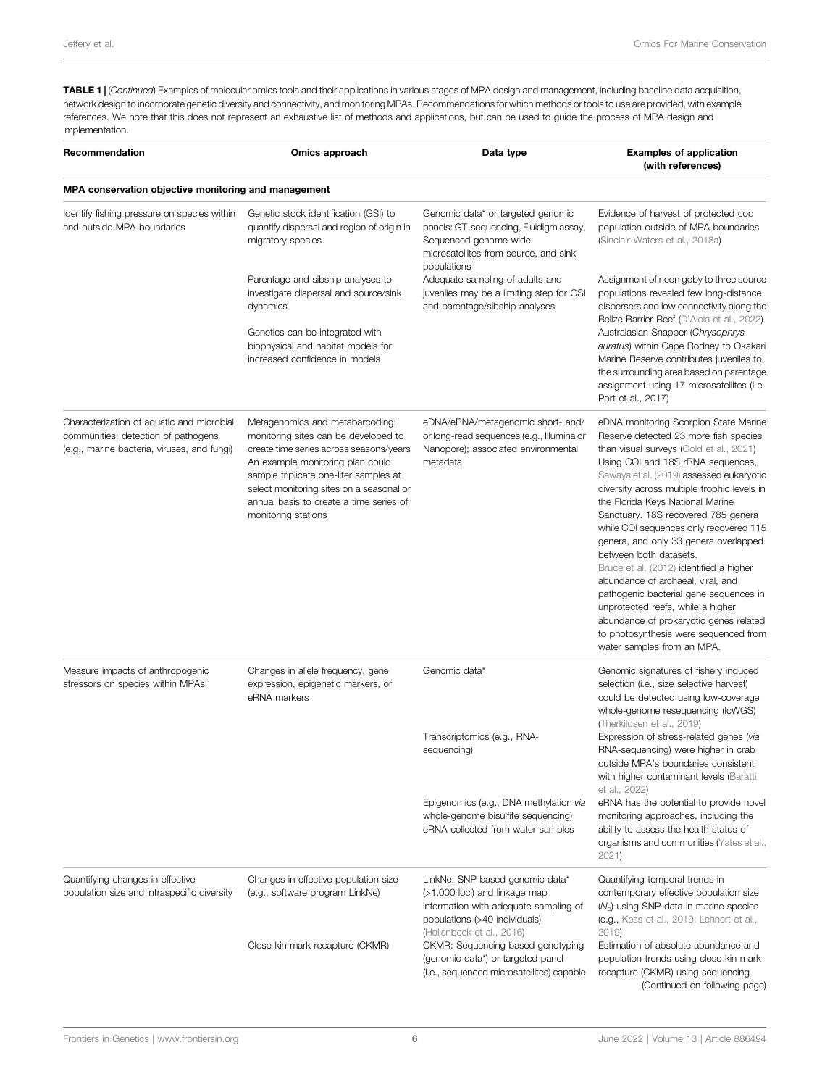TABLE 1 | (Continued) Examples of molecular omics tools and their applications in various stages of MPA design and management, including baseline data acquisition, network design to incorporate genetic diversity and connectivity, and monitoring MPAs. Recommendations for which methods or tools to use are provided, with example references. We note that this does not represent an exhaustive list of methods and applications, but can be used to guide the process of MPA design and implementation.

| Recommendation                                                                                                                  | Omics approach                                                                                                                                                                                                                                                                                                 | Data type                                                                                                                                                                                                                                                                     | <b>Examples of application</b><br>(with references)                                                                                                                                                                                                                                                                                                                                                                                                                                                                                                                                                                                                                                                                               |  |  |  |
|---------------------------------------------------------------------------------------------------------------------------------|----------------------------------------------------------------------------------------------------------------------------------------------------------------------------------------------------------------------------------------------------------------------------------------------------------------|-------------------------------------------------------------------------------------------------------------------------------------------------------------------------------------------------------------------------------------------------------------------------------|-----------------------------------------------------------------------------------------------------------------------------------------------------------------------------------------------------------------------------------------------------------------------------------------------------------------------------------------------------------------------------------------------------------------------------------------------------------------------------------------------------------------------------------------------------------------------------------------------------------------------------------------------------------------------------------------------------------------------------------|--|--|--|
| MPA conservation objective monitoring and management                                                                            |                                                                                                                                                                                                                                                                                                                |                                                                                                                                                                                                                                                                               |                                                                                                                                                                                                                                                                                                                                                                                                                                                                                                                                                                                                                                                                                                                                   |  |  |  |
| Identify fishing pressure on species within<br>and outside MPA boundaries                                                       | Genetic stock identification (GSI) to<br>quantify dispersal and region of origin in<br>migratory species                                                                                                                                                                                                       | Genomic data* or targeted genomic<br>panels: GT-sequencing, Fluidigm assay,<br>Sequenced genome-wide<br>microsatellites from source, and sink<br>populations<br>Adequate sampling of adults and<br>juveniles may be a limiting step for GSI<br>and parentage/sibship analyses | Evidence of harvest of protected cod<br>population outside of MPA boundaries<br>(Sinclair-Waters et al., 2018a)                                                                                                                                                                                                                                                                                                                                                                                                                                                                                                                                                                                                                   |  |  |  |
|                                                                                                                                 | Parentage and sibship analyses to<br>investigate dispersal and source/sink<br>dynamics<br>Genetics can be integrated with<br>biophysical and habitat models for<br>increased confidence in models                                                                                                              |                                                                                                                                                                                                                                                                               | Assignment of neon goby to three source<br>populations revealed few long-distance<br>dispersers and low connectivity along the<br>Belize Barrier Reef (D'Aloia et al., 2022)<br>Australasian Snapper (Chrysophrys<br>auratus) within Cape Rodney to Okakari<br>Marine Reserve contributes juveniles to<br>the surrounding area based on parentage<br>assignment using 17 microsatellites (Le<br>Port et al., 2017)                                                                                                                                                                                                                                                                                                                |  |  |  |
| Characterization of aquatic and microbial<br>communities; detection of pathogens<br>(e.g., marine bacteria, viruses, and fungi) | Metagenomics and metabarcoding;<br>monitoring sites can be developed to<br>create time series across seasons/years<br>An example monitoring plan could<br>sample triplicate one-liter samples at<br>select monitoring sites on a seasonal or<br>annual basis to create a time series of<br>monitoring stations | eDNA/eRNA/metagenomic short- and/<br>or long-read sequences (e.g., Illumina or<br>Nanopore); associated environmental<br>metadata                                                                                                                                             | eDNA monitoring Scorpion State Marine<br>Reserve detected 23 more fish species<br>than visual surveys (Gold et al., 2021)<br>Using COI and 18S rRNA sequences,<br>Sawaya et al. (2019) assessed eukaryotic<br>diversity across multiple trophic levels in<br>the Florida Keys National Marine<br>Sanctuary. 18S recovered 785 genera<br>while COI sequences only recovered 115<br>genera, and only 33 genera overlapped<br>between both datasets.<br>Bruce et al. (2012) identified a higher<br>abundance of archaeal, viral, and<br>pathogenic bacterial gene sequences in<br>unprotected reefs, while a higher<br>abundance of prokaryotic genes related<br>to photosynthesis were sequenced from<br>water samples from an MPA. |  |  |  |
| Measure impacts of anthropogenic<br>stressors on species within MPAs                                                            | Changes in allele frequency, gene<br>expression, epigenetic markers, or<br>eRNA markers                                                                                                                                                                                                                        | Genomic data*                                                                                                                                                                                                                                                                 | Genomic signatures of fishery induced<br>selection (i.e., size selective harvest)<br>could be detected using low-coverage<br>whole-genome resequencing (IcWGS)<br>(Therkildsen et al., 2019)                                                                                                                                                                                                                                                                                                                                                                                                                                                                                                                                      |  |  |  |
|                                                                                                                                 |                                                                                                                                                                                                                                                                                                                | Transcriptomics (e.g., RNA-<br>sequencing)                                                                                                                                                                                                                                    | Expression of stress-related genes (via<br>RNA-sequencing) were higher in crab<br>outside MPA's boundaries consistent<br>with higher contaminant levels (Baratti<br>et al., 2022)                                                                                                                                                                                                                                                                                                                                                                                                                                                                                                                                                 |  |  |  |
|                                                                                                                                 |                                                                                                                                                                                                                                                                                                                | Epigenomics (e.g., DNA methylation via<br>whole-genome bisulfite sequencing)<br>eRNA collected from water samples                                                                                                                                                             | eRNA has the potential to provide novel<br>monitoring approaches, including the<br>ability to assess the health status of<br>organisms and communities (Yates et al.,<br>2021)                                                                                                                                                                                                                                                                                                                                                                                                                                                                                                                                                    |  |  |  |
| Quantifying changes in effective<br>population size and intraspecific diversity                                                 | Changes in effective population size<br>(e.g., software program LinkNe)                                                                                                                                                                                                                                        | LinkNe: SNP based genomic data*<br>(>1,000 loci) and linkage map<br>information with adequate sampling of<br>populations (>40 individuals)<br>(Hollenbeck et al., 2016)                                                                                                       | Quantifying temporal trends in<br>contemporary effective population size<br>$(Ne)$ using SNP data in marine species<br>(e.g., Kess et al., 2019; Lehnert et al.,<br>2019                                                                                                                                                                                                                                                                                                                                                                                                                                                                                                                                                          |  |  |  |
|                                                                                                                                 | Close-kin mark recapture (CKMR)                                                                                                                                                                                                                                                                                | CKMR: Sequencing based genotyping<br>(genomic data*) or targeted panel<br>(i.e., sequenced microsatellites) capable                                                                                                                                                           | Estimation of absolute abundance and<br>population trends using close-kin mark<br>recapture (CKMR) using sequencing<br>(Continued on following page)                                                                                                                                                                                                                                                                                                                                                                                                                                                                                                                                                                              |  |  |  |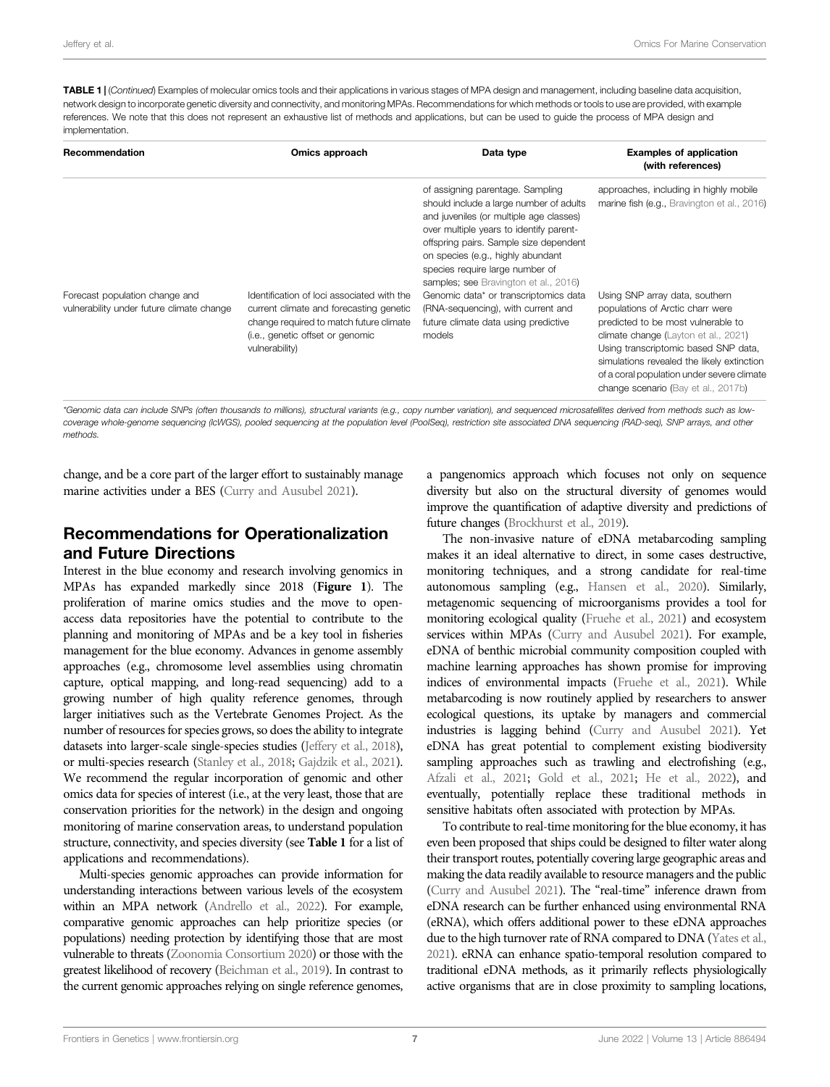TABLE 1 | (Continued) Examples of molecular omics tools and their applications in various stages of MPA design and management, including baseline data acquisition, network design to incorporate genetic diversity and connectivity, and monitoring MPAs. Recommendations for which methods or tools to use are provided, with example references. We note that this does not represent an exhaustive list of methods and applications, but can be used to guide the process of MPA design and implementation.

| Recommendation                                                              | Omics approach                                                                                                                                                                         | Data type                                                                                                                                                                                                                                                                                                                                                                                                                                                     | <b>Examples of application</b><br>(with references)                                                                                                                                                                                                                                                                                                                                                                  |
|-----------------------------------------------------------------------------|----------------------------------------------------------------------------------------------------------------------------------------------------------------------------------------|---------------------------------------------------------------------------------------------------------------------------------------------------------------------------------------------------------------------------------------------------------------------------------------------------------------------------------------------------------------------------------------------------------------------------------------------------------------|----------------------------------------------------------------------------------------------------------------------------------------------------------------------------------------------------------------------------------------------------------------------------------------------------------------------------------------------------------------------------------------------------------------------|
| Forecast population change and<br>vulnerability under future climate change | Identification of loci associated with the<br>current climate and forecasting genetic<br>change required to match future climate<br>(i.e., genetic offset or genomic<br>vulnerability) | of assigning parentage. Sampling<br>should include a large number of adults<br>and juveniles (or multiple age classes)<br>over multiple years to identify parent-<br>offspring pairs. Sample size dependent<br>on species (e.g., highly abundant<br>species require large number of<br>samples; see Bravington et al., 2016)<br>Genomic data* or transcriptomics data<br>(RNA-sequencing), with current and<br>future climate data using predictive<br>models | approaches, including in highly mobile<br>marine fish (e.g., Bravington et al., 2016)<br>Using SNP array data, southern<br>populations of Arctic charr were<br>predicted to be most vulnerable to<br>climate change (Layton et al., 2021)<br>Using transcriptomic based SNP data,<br>simulations revealed the likely extinction<br>of a coral population under severe climate<br>change scenario (Bay et al., 2017b) |

\*Genomic data can include SNPs (often thousands to millions), structural variants (e.g., copy number variation), and sequenced microsatellites derived from methods such as lowcoverage whole-genome sequencing (IcWGS), pooled sequencing at the population level (PoolSeq), restriction site associated DNA sequencing (RAD-seq), SNP arrays, and other methods.

change, and be a core part of the larger effort to sustainably manage marine activities under a BES ([Curry and Ausubel 2021\)](#page-8-36).

### Recommendations for Operationalization and Future Directions

Interest in the blue economy and research involving genomics in MPAs has expanded markedly since 2018 ([Figure 1](#page-1-0)). The proliferation of marine omics studies and the move to openaccess data repositories have the potential to contribute to the planning and monitoring of MPAs and be a key tool in fisheries management for the blue economy. Advances in genome assembly approaches (e.g., chromosome level assemblies using chromatin capture, optical mapping, and long-read sequencing) add to a growing number of high quality reference genomes, through larger initiatives such as the [Vertebrate Genomes Project.](https://vertebrategenomesproject.org/) As the number of resources for species grows, so does the ability to integrate datasets into larger-scale single-species studies [\(Jeffery et al., 2018](#page-8-32)), or multi-species research ([Stanley et al., 2018](#page-9-15); [Gajdzik et al., 2021](#page-8-19)). We recommend the regular incorporation of genomic and other omics data for species of interest (i.e., at the very least, those that are conservation priorities for the network) in the design and ongoing monitoring of marine conservation areas, to understand population structure, connectivity, and species diversity (see [Table 1](#page-4-0) for a list of applications and recommendations).

Multi-species genomic approaches can provide information for understanding interactions between various levels of the ecosystem within an MPA network [\(Andrello et al., 2022\)](#page-7-3). For example, comparative genomic approaches can help prioritize species (or populations) needing protection by identifying those that are most vulnerable to threats ([Zoonomia Consortium 2020\)](#page-9-32) or those with the greatest likelihood of recovery [\(Beichman et al., 2019](#page-7-14)). In contrast to the current genomic approaches relying on single reference genomes,

a pangenomics approach which focuses not only on sequence diversity but also on the structural diversity of genomes would improve the quantification of adaptive diversity and predictions of future changes ([Brockhurst et al., 2019](#page-7-15)).

The non-invasive nature of eDNA metabarcoding sampling makes it an ideal alternative to direct, in some cases destructive, monitoring techniques, and a strong candidate for real-time autonomous sampling (e.g., [Hansen et al., 2020](#page-8-27)). Similarly, metagenomic sequencing of microorganisms provides a tool for monitoring ecological quality [\(Fruehe et al., 2021](#page-8-37)) and ecosystem services within MPAs [\(Curry and Ausubel 2021](#page-8-36)). For example, eDNA of benthic microbial community composition coupled with machine learning approaches has shown promise for improving indices of environmental impacts [\(Fruehe et al., 2021\)](#page-8-37). While metabarcoding is now routinely applied by researchers to answer ecological questions, its uptake by managers and commercial industries is lagging behind ([Curry and Ausubel 2021](#page-8-36)). Yet eDNA has great potential to complement existing biodiversity sampling approaches such as trawling and electrofishing (e.g., [Afzali et al., 2021](#page-7-16); [Gold et al., 2021](#page-8-25); [He et al., 2022](#page-8-24)), and eventually, potentially replace these traditional methods in sensitive habitats often associated with protection by MPAs.

To contribute to real-time monitoring for the blue economy, it has even been proposed that ships could be designed to filter water along their transport routes, potentially covering large geographic areas and making the data readily available to resource managers and the public [\(Curry and Ausubel 2021\)](#page-8-36). The "real-time" inference drawn from eDNA research can be further enhanced using environmental RNA (eRNA), which offers additional power to these eDNA approaches due to the high turnover rate of RNA compared to DNA ([Yates et al.,](#page-9-31) [2021](#page-9-31)). eRNA can enhance spatio-temporal resolution compared to traditional eDNA methods, as it primarily reflects physiologically active organisms that are in close proximity to sampling locations,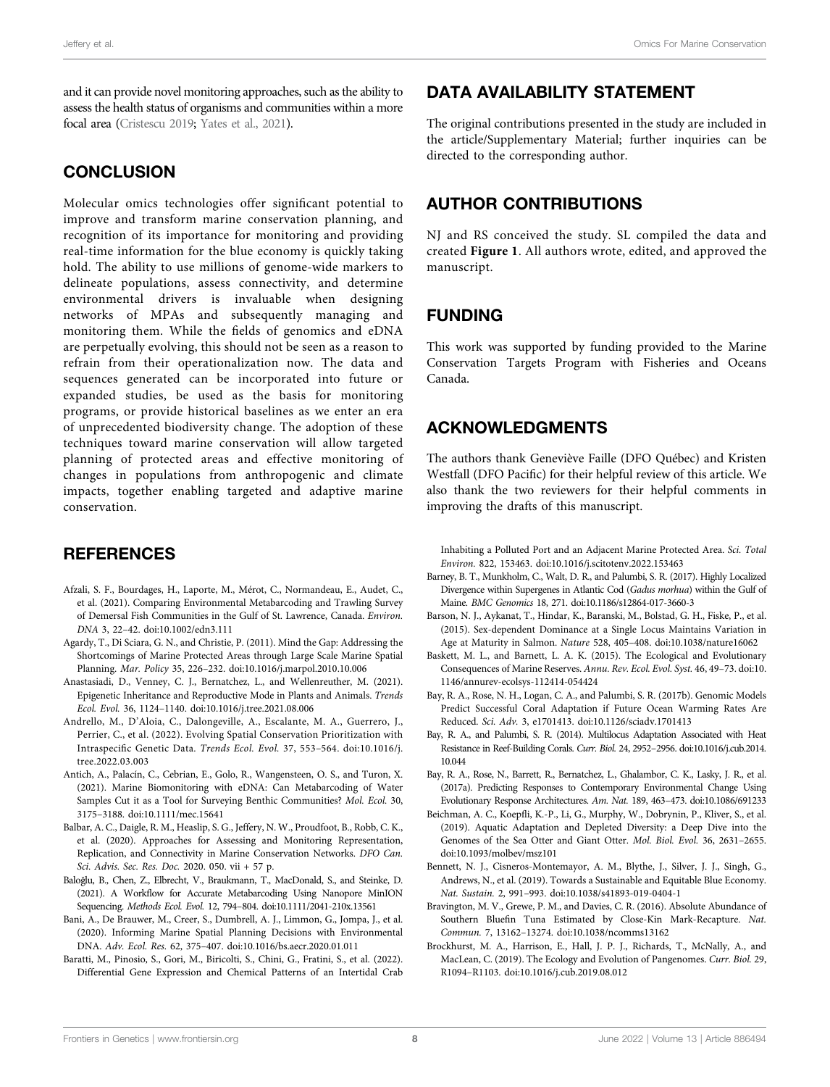and it can provide novel monitoring approaches, such as the ability to assess the health status of organisms and communities within a more focal area [\(Cristescu 2019;](#page-8-38) [Yates et al., 2021](#page-9-31)).

#### **CONCLUSION**

Molecular omics technologies offer significant potential to improve and transform marine conservation planning, and recognition of its importance for monitoring and providing real-time information for the blue economy is quickly taking hold. The ability to use millions of genome-wide markers to delineate populations, assess connectivity, and determine environmental drivers is invaluable when designing networks of MPAs and subsequently managing and monitoring them. While the fields of genomics and eDNA are perpetually evolving, this should not be seen as a reason to refrain from their operationalization now. The data and sequences generated can be incorporated into future or expanded studies, be used as the basis for monitoring programs, or provide historical baselines as we enter an era of unprecedented biodiversity change. The adoption of these techniques toward marine conservation will allow targeted planning of protected areas and effective monitoring of changes in populations from anthropogenic and climate impacts, together enabling targeted and adaptive marine conservation.

### **REFERENCES**

- <span id="page-7-16"></span>Afzali, S. F., Bourdages, H., Laporte, M., Mérot, C., Normandeau, E., Audet, C., et al. (2021). Comparing Environmental Metabarcoding and Trawling Survey of Demersal Fish Communities in the Gulf of St. Lawrence, Canada. Environ. DNA 3, 22–42. doi[:10.1002/edn3.111](https://doi.org/10.1002/edn3.111)
- <span id="page-7-1"></span>Agardy, T., Di Sciara, G. N., and Christie, P. (2011). Mind the Gap: Addressing the Shortcomings of Marine Protected Areas through Large Scale Marine Spatial Planning. Mar. Policy 35, 226–232. doi[:10.1016/j.marpol.2010.10.006](https://doi.org/10.1016/j.marpol.2010.10.006)
- <span id="page-7-9"></span>Anastasiadi, D., Venney, C. J., Bernatchez, L., and Wellenreuther, M. (2021). Epigenetic Inheritance and Reproductive Mode in Plants and Animals. Trends Ecol. Evol. 36, 1124–1140. doi:[10.1016/j.tree.2021.08.006](https://doi.org/10.1016/j.tree.2021.08.006)
- <span id="page-7-3"></span>Andrello, M., D'Aloia, C., Dalongeville, A., Escalante, M. A., Guerrero, J., Perrier, C., et al. (2022). Evolving Spatial Conservation Prioritization with Intraspecific Genetic Data. Trends Ecol. Evol. 37, 553–564. doi[:10.1016/j.](https://doi.org/10.1016/j.tree.2022.03.003) [tree.2022.03.003](https://doi.org/10.1016/j.tree.2022.03.003)
- <span id="page-7-12"></span>Antich, A., Palacín, C., Cebrian, E., Golo, R., Wangensteen, O. S., and Turon, X. (2021). Marine Biomonitoring with eDNA: Can Metabarcoding of Water Samples Cut it as a Tool for Surveying Benthic Communities? Mol. Ecol. 30, 3175–3188. doi[:10.1111/mec.15641](https://doi.org/10.1111/mec.15641)
- <span id="page-7-4"></span>Balbar, A. C., Daigle, R. M., Heaslip, S. G., Jeffery, N. W., Proudfoot, B., Robb, C. K., et al. (2020). Approaches for Assessing and Monitoring Representation, Replication, and Connectivity in Marine Conservation Networks. DFO Can. Sci. Advis. Sec. Res. Doc. 2020. 050. vii + 57 p.
- <span id="page-7-11"></span>Baloğlu, B., Chen, Z., Elbrecht, V., Braukmann, T., MacDonald, S., and Steinke, D. (2021). A Workflow for Accurate Metabarcoding Using Nanopore MinION Sequencing. Methods Ecol. Evol. 12, 794–804. doi[:10.1111/2041-210x.13561](https://doi.org/10.1111/2041-210x.13561)
- <span id="page-7-10"></span>Bani, A., De Brauwer, M., Creer, S., Dumbrell, A. J., Limmon, G., Jompa, J., et al. (2020). Informing Marine Spatial Planning Decisions with Environmental DNA. Adv. Ecol. Res. 62, 375–407. doi[:10.1016/bs.aecr.2020.01.011](https://doi.org/10.1016/bs.aecr.2020.01.011)
- <span id="page-7-8"></span>Baratti, M., Pinosio, S., Gori, M., Biricolti, S., Chini, G., Fratini, S., et al. (2022). Differential Gene Expression and Chemical Patterns of an Intertidal Crab

### DATA AVAILABILITY STATEMENT

The original contributions presented in the study are included in the article/Supplementary Material; further inquiries can be directed to the corresponding author.

### AUTHOR CONTRIBUTIONS

NJ and RS conceived the study. SL compiled the data and created [Figure 1](#page-1-0). All authors wrote, edited, and approved the manuscript.

#### FUNDING

This work was supported by funding provided to the Marine Conservation Targets Program with Fisheries and Oceans Canada.

#### ACKNOWLEDGMENTS

The authors thank Geneviève Faille (DFO Québec) and Kristen Westfall (DFO Pacific) for their helpful review of this article. We also thank the two reviewers for their helpful comments in improving the drafts of this manuscript.

Inhabiting a Polluted Port and an Adjacent Marine Protected Area. Sci. Total Environ. 822, 153463. doi:[10.1016/j.scitotenv.2022.153463](https://doi.org/10.1016/j.scitotenv.2022.153463)

- <span id="page-7-2"></span>Barney, B. T., Munkholm, C., Walt, D. R., and Palumbi, S. R. (2017). Highly Localized Divergence within Supergenes in Atlantic Cod (Gadus morhua) within the Gulf of Maine. BMC Genomics 18, 271. doi[:10.1186/s12864-017-3660-3](https://doi.org/10.1186/s12864-017-3660-3)
- <span id="page-7-7"></span>Barson, N. J., Aykanat, T., Hindar, K., Baranski, M., Bolstad, G. H., Fiske, P., et al. (2015). Sex-dependent Dominance at a Single Locus Maintains Variation in Age at Maturity in Salmon. Nature 528, 405–408. doi[:10.1038/nature16062](https://doi.org/10.1038/nature16062)
- <span id="page-7-5"></span>Baskett, M. L., and Barnett, L. A. K. (2015). The Ecological and Evolutionary Consequences of Marine Reserves. Annu. Rev. Ecol. Evol. Syst. 46, 49–73. doi[:10.](https://doi.org/10.1146/annurev-ecolsys-112414-054424) [1146/annurev-ecolsys-112414-054424](https://doi.org/10.1146/annurev-ecolsys-112414-054424)
- <span id="page-7-18"></span>Bay, R. A., Rose, N. H., Logan, C. A., and Palumbi, S. R. (2017b). Genomic Models Predict Successful Coral Adaptation if Future Ocean Warming Rates Are Reduced. Sci. Adv. 3, e1701413. doi:[10.1126/sciadv.1701413](https://doi.org/10.1126/sciadv.1701413)
- <span id="page-7-13"></span>Bay, R. A., and Palumbi, S. R. (2014). Multilocus Adaptation Associated with Heat Resistance in Reef-Building Corals. Curr. Biol. 24, 2952–2956. doi:[10.1016/j.cub.2014.](https://doi.org/10.1016/j.cub.2014.10.044) [10.044](https://doi.org/10.1016/j.cub.2014.10.044)
- <span id="page-7-6"></span>Bay, R. A., Rose, N., Barrett, R., Bernatchez, L., Ghalambor, C. K., Lasky, J. R., et al. (2017a). Predicting Responses to Contemporary Environmental Change Using Evolutionary Response Architectures. Am. Nat. 189, 463–473. doi[:10.1086/691233](https://doi.org/10.1086/691233)
- <span id="page-7-14"></span>Beichman, A. C., Koepfli, K.-P., Li, G., Murphy, W., Dobrynin, P., Kliver, S., et al. (2019). Aquatic Adaptation and Depleted Diversity: a Deep Dive into the Genomes of the Sea Otter and Giant Otter. Mol. Biol. Evol. 36, 2631–2655. doi[:10.1093/molbev/msz101](https://doi.org/10.1093/molbev/msz101)
- <span id="page-7-0"></span>Bennett, N. J., Cisneros-Montemayor, A. M., Blythe, J., Silver, J. J., Singh, G., Andrews, N., et al. (2019). Towards a Sustainable and Equitable Blue Economy. Nat. Sustain. 2, 991–993. doi:[10.1038/s41893-019-0404-1](https://doi.org/10.1038/s41893-019-0404-1)
- <span id="page-7-17"></span>Bravington, M. V., Grewe, P. M., and Davies, C. R. (2016). Absolute Abundance of Southern Bluefin Tuna Estimated by Close-Kin Mark-Recapture. Nat. Commun. 7, 13162–13274. doi:[10.1038/ncomms13162](https://doi.org/10.1038/ncomms13162)
- <span id="page-7-15"></span>Brockhurst, M. A., Harrison, E., Hall, J. P. J., Richards, T., McNally, A., and MacLean, C. (2019). The Ecology and Evolution of Pangenomes. Curr. Biol. 29, R1094–R1103. doi[:10.1016/j.cub.2019.08.012](https://doi.org/10.1016/j.cub.2019.08.012)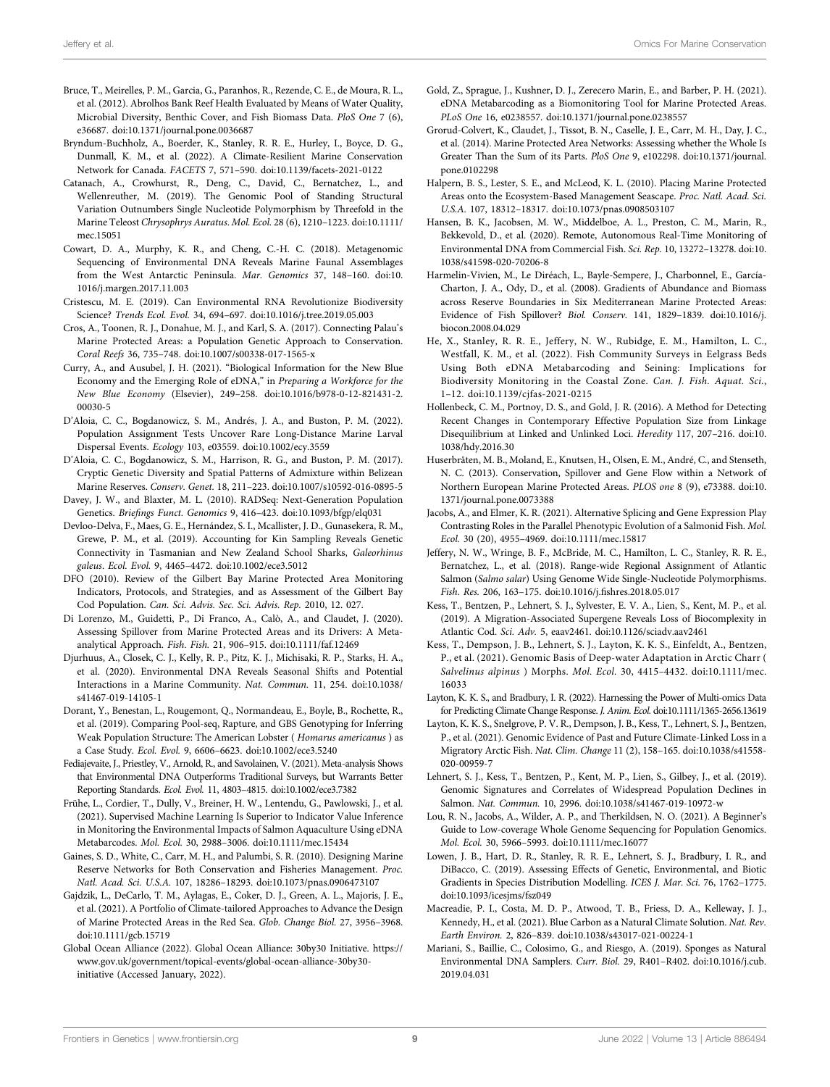- <span id="page-8-35"></span>Bruce, T., Meirelles, P. M., Garcia, G., Paranhos, R., Rezende, C. E., de Moura, R. L., et al. (2012). Abrolhos Bank Reef Health Evaluated by Means of Water Quality, Microbial Diversity, Benthic Cover, and Fish Biomass Data. PloS One 7 (6), e36687. doi:[10.1371/journal.pone.0036687](https://doi.org/10.1371/journal.pone.0036687)
- <span id="page-8-7"></span>Bryndum-Buchholz, A., Boerder, K., Stanley, R. R. E., Hurley, I., Boyce, D. G., Dunmall, K. M., et al. (2022). A Climate-Resilient Marine Conservation Network for Canada. FACETS 7, 571–590. doi[:10.1139/facets-2021-0122](https://doi.org/10.1139/facets-2021-0122)
- <span id="page-8-13"></span>Catanach, A., Crowhurst, R., Deng, C., David, C., Bernatchez, L., and Wellenreuther, M. (2019). The Genomic Pool of Standing Structural Variation Outnumbers Single Nucleotide Polymorphism by Threefold in the Marine Teleost Chrysophrys Auratus. Mol. Ecol. 28 (6), 1210–1223. doi:[10.1111/](https://doi.org/10.1111/mec.15051) [mec.15051](https://doi.org/10.1111/mec.15051)
- <span id="page-8-26"></span>Cowart, D. A., Murphy, K. R., and Cheng, C.-H. C. (2018). Metagenomic Sequencing of Environmental DNA Reveals Marine Faunal Assemblages from the West Antarctic Peninsula. Mar. Genomics 37, 148–160. doi[:10.](https://doi.org/10.1016/j.margen.2017.11.003) [1016/j.margen.2017.11.003](https://doi.org/10.1016/j.margen.2017.11.003)
- <span id="page-8-38"></span>Cristescu, M. E. (2019). Can Environmental RNA Revolutionize Biodiversity Science? Trends Ecol. Evol. 34, 694–697. doi:[10.1016/j.tree.2019.05.003](https://doi.org/10.1016/j.tree.2019.05.003)
- <span id="page-8-31"></span>Cros, A., Toonen, R. J., Donahue, M. J., and Karl, S. A. (2017). Connecting Palau's Marine Protected Areas: a Population Genetic Approach to Conservation. Coral Reefs 36, 735–748. doi[:10.1007/s00338-017-1565-x](https://doi.org/10.1007/s00338-017-1565-x)
- <span id="page-8-36"></span>Curry, A., and Ausubel, J. H. (2021). "Biological Information for the New Blue Economy and the Emerging Role of eDNA," in Preparing a Workforce for the New Blue Economy (Elsevier), 249–258. doi:[10.1016/b978-0-12-821431-2.](https://doi.org/10.1016/b978-0-12-821431-2.00030-5) [00030-5](https://doi.org/10.1016/b978-0-12-821431-2.00030-5)
- <span id="page-8-34"></span>D'Aloia, C. C., Bogdanowicz, S. M., Andrés, J. A., and Buston, P. M. (2022). Population Assignment Tests Uncover Rare Long-Distance Marine Larval Dispersal Events. Ecology 103, e03559. doi[:10.1002/ecy.3559](https://doi.org/10.1002/ecy.3559)
- <span id="page-8-30"></span>D'Aloia, C. C., Bogdanowicz, S. M., Harrison, R. G., and Buston, P. M. (2017). Cryptic Genetic Diversity and Spatial Patterns of Admixture within Belizean Marine Reserves. Conserv. Genet. 18, 211–223. doi[:10.1007/s10592-016-0895-5](https://doi.org/10.1007/s10592-016-0895-5)
- <span id="page-8-8"></span>Davey, J. W., and Blaxter, M. L. (2010). RADSeq: Next-Generation Population Genetics. Briefings Funct. Genomics 9, 416–423. doi:[10.1093/bfgp/elq031](https://doi.org/10.1093/bfgp/elq031)
- <span id="page-8-29"></span>Devloo-Delva, F., Maes, G. E., Hernández, S. I., Mcallister, J. D., Gunasekera, R. M., Grewe, P. M., et al. (2019). Accounting for Kin Sampling Reveals Genetic Connectivity in Tasmanian and New Zealand School Sharks, Galeorhinus galeus. Ecol. Evol. 9, 4465–4472. doi[:10.1002/ece3.5012](https://doi.org/10.1002/ece3.5012)
- <span id="page-8-20"></span>DFO (2010). Review of the Gilbert Bay Marine Protected Area Monitoring Indicators, Protocols, and Strategies, and as Assessment of the Gilbert Bay Cod Population. Can. Sci. Advis. Sec. Sci. Advis. Rep. 2010, 12. 027.
- <span id="page-8-6"></span>Di Lorenzo, M., Guidetti, P., Di Franco, A., Calò, A., and Claudet, J. (2020). Assessing Spillover from Marine Protected Areas and its Drivers: A Metaanalytical Approach. Fish. Fish. 21, 906–915. doi:[10.1111/faf.12469](https://doi.org/10.1111/faf.12469)
- <span id="page-8-22"></span>Djurhuus, A., Closek, C. J., Kelly, R. P., Pitz, K. J., Michisaki, R. P., Starks, H. A., et al. (2020). Environmental DNA Reveals Seasonal Shifts and Potential Interactions in a Marine Community. Nat. Commun. 11, 254. doi:[10.1038/](https://doi.org/10.1038/s41467-019-14105-1) [s41467-019-14105-1](https://doi.org/10.1038/s41467-019-14105-1)
- <span id="page-8-33"></span>Dorant, Y., Benestan, L., Rougemont, Q., Normandeau, E., Boyle, B., Rochette, R., et al. (2019). Comparing Pool-seq, Rapture, and GBS Genotyping for Inferring Weak Population Structure: The American Lobster ( Homarus americanus ) as a Case Study. Ecol. Evol. 9, 6606–6623. doi:[10.1002/ece3.5240](https://doi.org/10.1002/ece3.5240)
- <span id="page-8-23"></span>Fediajevaite, J., Priestley, V., Arnold, R., and Savolainen, V. (2021). Meta-analysis Shows that Environmental DNA Outperforms Traditional Surveys, but Warrants Better Reporting Standards. Ecol. Evol. 11, 4803–4815. doi:[10.1002/ece3.7382](https://doi.org/10.1002/ece3.7382)
- <span id="page-8-37"></span>Frühe, L., Cordier, T., Dully, V., Breiner, H. W., Lentendu, G., Pawlowski, J., et al. (2021). Supervised Machine Learning Is Superior to Indicator Value Inference in Monitoring the Environmental Impacts of Salmon Aquaculture Using eDNA Metabarcodes. Mol. Ecol. 30, 2988–3006. doi:[10.1111/mec.15434](https://doi.org/10.1111/mec.15434)
- <span id="page-8-0"></span>Gaines, S. D., White, C., Carr, M. H., and Palumbi, S. R. (2010). Designing Marine Reserve Networks for Both Conservation and Fisheries Management. Proc. Natl. Acad. Sci. U.S.A. 107, 18286–18293. doi[:10.1073/pnas.0906473107](https://doi.org/10.1073/pnas.0906473107)
- <span id="page-8-19"></span>Gajdzik, L., DeCarlo, T. M., Aylagas, E., Coker, D. J., Green, A. L., Majoris, J. E., et al. (2021). A Portfolio of Climate-tailored Approaches to Advance the Design of Marine Protected Areas in the Red Sea. Glob. Change Biol. 27, 3956–3968. doi:[10.1111/gcb.15719](https://doi.org/10.1111/gcb.15719)
- <span id="page-8-1"></span>Global Ocean Alliance (2022). Global Ocean Alliance: 30by30 Initiative. [https://](https://www.gov.uk/government/topical-events/global-ocean-alliance-30by30-initiative) [www.gov.uk/government/topical-events/global-ocean-alliance-30by30](https://www.gov.uk/government/topical-events/global-ocean-alliance-30by30-initiative) [initiative](https://www.gov.uk/government/topical-events/global-ocean-alliance-30by30-initiative) (Accessed January, 2022).
- <span id="page-8-25"></span>Gold, Z., Sprague, J., Kushner, D. J., Zerecero Marin, E., and Barber, P. H. (2021). eDNA Metabarcoding as a Biomonitoring Tool for Marine Protected Areas. PLoS One 16, e0238557. doi[:10.1371/journal.pone.0238557](https://doi.org/10.1371/journal.pone.0238557)
- <span id="page-8-5"></span>Grorud-Colvert, K., Claudet, J., Tissot, B. N., Caselle, J. E., Carr, M. H., Day, J. C., et al. (2014). Marine Protected Area Networks: Assessing whether the Whole Is Greater Than the Sum of its Parts. PloS One 9, e102298. doi[:10.1371/journal.](https://doi.org/10.1371/journal.pone.0102298) [pone.0102298](https://doi.org/10.1371/journal.pone.0102298)
- <span id="page-8-2"></span>Halpern, B. S., Lester, S. E., and McLeod, K. L. (2010). Placing Marine Protected Areas onto the Ecosystem-Based Management Seascape. Proc. Natl. Acad. Sci. U.S.A. 107, 18312–18317. doi[:10.1073/pnas.0908503107](https://doi.org/10.1073/pnas.0908503107)
- <span id="page-8-27"></span>Hansen, B. K., Jacobsen, M. W., Middelboe, A. L., Preston, C. M., Marin, R., Bekkevold, D., et al. (2020). Remote, Autonomous Real-Time Monitoring of Environmental DNA from Commercial Fish. Sci. Rep. 10, 13272–13278. doi[:10.](https://doi.org/10.1038/s41598-020-70206-8) [1038/s41598-020-70206-8](https://doi.org/10.1038/s41598-020-70206-8)
- <span id="page-8-4"></span>Harmelin-Vivien, M., Le Diréach, L., Bayle-Sempere, J., Charbonnel, E., García-Charton, J. A., Ody, D., et al. (2008). Gradients of Abundance and Biomass across Reserve Boundaries in Six Mediterranean Marine Protected Areas: Evidence of Fish Spillover? Biol. Conserv. 141, 1829–1839. doi:[10.1016/j.](https://doi.org/10.1016/j.biocon.2008.04.029) [biocon.2008.04.029](https://doi.org/10.1016/j.biocon.2008.04.029)
- <span id="page-8-24"></span>He, X., Stanley, R. R. E., Jeffery, N. W., Rubidge, E. M., Hamilton, L. C., Westfall, K. M., et al. (2022). Fish Community Surveys in Eelgrass Beds Using Both eDNA Metabarcoding and Seining: Implications for Biodiversity Monitoring in the Coastal Zone. Can. J. Fish. Aquat. Sci., 1–12. doi:[10.1139/cjfas-2021-0215](https://doi.org/10.1139/cjfas-2021-0215)
- <span id="page-8-17"></span>Hollenbeck, C. M., Portnoy, D. S., and Gold, J. R. (2016). A Method for Detecting Recent Changes in Contemporary Effective Population Size from Linkage Disequilibrium at Linked and Unlinked Loci. Heredity 117, 207–216. doi[:10.](https://doi.org/10.1038/hdy.2016.30) [1038/hdy.2016.30](https://doi.org/10.1038/hdy.2016.30)
- <span id="page-8-10"></span>Huserbråten, M. B., Moland, E., Knutsen, H., Olsen, E. M., André, C., and Stenseth, N. C. (2013). Conservation, Spillover and Gene Flow within a Network of Northern European Marine Protected Areas. PLOS one 8 (9), e73388. doi[:10.](https://doi.org/10.1371/journal.pone.0073388) [1371/journal.pone.0073388](https://doi.org/10.1371/journal.pone.0073388)
- <span id="page-8-21"></span>Jacobs, A., and Elmer, K. R. (2021). Alternative Splicing and Gene Expression Play Contrasting Roles in the Parallel Phenotypic Evolution of a Salmonid Fish. Mol. Ecol. 30 (20), 4955–4969. doi[:10.1111/mec.15817](https://doi.org/10.1111/mec.15817)
- <span id="page-8-32"></span>Jeffery, N. W., Wringe, B. F., McBride, M. C., Hamilton, L. C., Stanley, R. R. E., Bernatchez, L., et al. (2018). Range-wide Regional Assignment of Atlantic Salmon (Salmo salar) Using Genome Wide Single-Nucleotide Polymorphisms. Fish. Res. 206, 163–175. doi:10.1016/j.fi[shres.2018.05.017](https://doi.org/10.1016/j.fishres.2018.05.017)
- <span id="page-8-14"></span>Kess, T., Bentzen, P., Lehnert, S. J., Sylvester, E. V. A., Lien, S., Kent, M. P., et al. (2019). A Migration-Associated Supergene Reveals Loss of Biocomplexity in Atlantic Cod. Sci. Adv. 5, eaav2461. doi[:10.1126/sciadv.aav2461](https://doi.org/10.1126/sciadv.aav2461)
- <span id="page-8-15"></span>Kess, T., Dempson, J. B., Lehnert, S. J., Layton, K. K. S., Einfeldt, A., Bentzen, P., et al. (2021). Genomic Basis of Deep-water Adaptation in Arctic Charr ( Salvelinus alpinus ) Morphs. Mol. Ecol. 30, 4415–4432. doi[:10.1111/mec.](https://doi.org/10.1111/mec.16033) [16033](https://doi.org/10.1111/mec.16033)
- <span id="page-8-12"></span>Layton, K. K. S., and Bradbury, I. R. (2022). Harnessing the Power of Multi-omics Data for Predicting Climate Change Response. J. Anim. Ecol. doi[:10.1111/1365-2656.13619](https://doi.org/10.1111/1365-2656.13619)
- <span id="page-8-16"></span>Layton, K. K. S., Snelgrove, P. V. R., Dempson, J. B., Kess, T., Lehnert, S. J., Bentzen, P., et al. (2021). Genomic Evidence of Past and Future Climate-Linked Loss in a Migratory Arctic Fish. Nat. Clim. Change 11 (2), 158–165. doi[:10.1038/s41558-](https://doi.org/10.1038/s41558-020-00959-7) [020-00959-7](https://doi.org/10.1038/s41558-020-00959-7)
- <span id="page-8-18"></span>Lehnert, S. J., Kess, T., Bentzen, P., Kent, M. P., Lien, S., Gilbey, J., et al. (2019). Genomic Signatures and Correlates of Widespread Population Declines in Salmon. Nat. Commun. 10, 2996. doi[:10.1038/s41467-019-10972-w](https://doi.org/10.1038/s41467-019-10972-w)
- <span id="page-8-9"></span>Lou, R. N., Jacobs, A., Wilder, A. P., and Therkildsen, N. O. (2021). A Beginner's Guide to Low-coverage Whole Genome Sequencing for Population Genomics. Mol. Ecol. 30, 5966–5993. doi:[10.1111/mec.16077](https://doi.org/10.1111/mec.16077)
- <span id="page-8-11"></span>Lowen, J. B., Hart, D. R., Stanley, R. R. E., Lehnert, S. J., Bradbury, I. R., and DiBacco, C. (2019). Assessing Effects of Genetic, Environmental, and Biotic Gradients in Species Distribution Modelling. ICES J. Mar. Sci. 76, 1762–1775. doi[:10.1093/icesjms/fsz049](https://doi.org/10.1093/icesjms/fsz049)
- <span id="page-8-3"></span>Macreadie, P. I., Costa, M. D. P., Atwood, T. B., Friess, D. A., Kelleway, J. J., Kennedy, H., et al. (2021). Blue Carbon as a Natural Climate Solution. Nat. Rev. Earth Environ. 2, 826–839. doi[:10.1038/s43017-021-00224-1](https://doi.org/10.1038/s43017-021-00224-1)
- <span id="page-8-28"></span>Mariani, S., Baillie, C., Colosimo, G., and Riesgo, A. (2019). Sponges as Natural Environmental DNA Samplers. Curr. Biol. 29, R401–R402. doi[:10.1016/j.cub.](https://doi.org/10.1016/j.cub.2019.04.031) [2019.04.031](https://doi.org/10.1016/j.cub.2019.04.031)